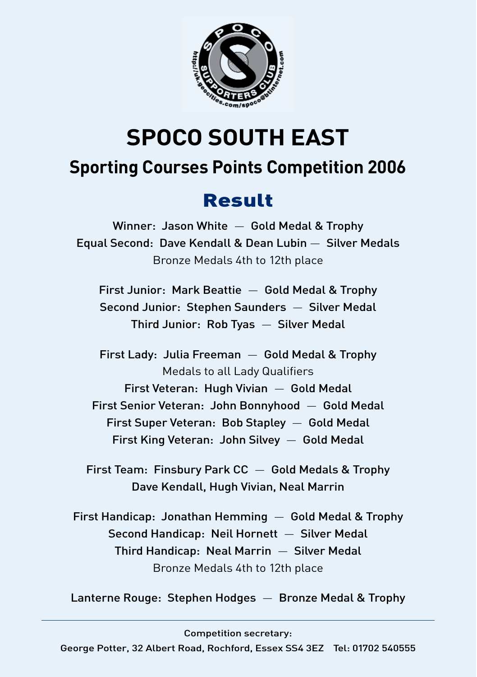

# **SPOCO SOUTH EAST Sporting Courses Points Competition 2006**

# Result

Winner: Jason White — Gold Medal & Trophy Equal Second: Dave Kendall & Dean Lubin — Silver Medals Bronze Medals 4th to 12th place

First Junior: Mark Beattie — Gold Medal & Trophy Second Junior: Stephen Saunders — Silver Medal Third Junior: Rob Tyas — Silver Medal

First Lady: Julia Freeman — Gold Medal & Trophy Medals to all Lady Qualifiers First Veteran: Hugh Vivian — Gold Medal First Senior Veteran: John Bonnyhood — Gold Medal First Super Veteran: Bob Stapley — Gold Medal First King Veteran: John Silvey — Gold Medal

First Team: Finsbury Park CC — Gold Medals & Trophy Dave Kendall, Hugh Vivian, Neal Marrin

First Handicap: Jonathan Hemming — Gold Medal & Trophy Second Handicap: Neil Hornett — Silver Medal Third Handicap: Neal Marrin — Silver Medal Bronze Medals 4th to 12th place

Lanterne Rouge: Stephen Hodges — Bronze Medal & Trophy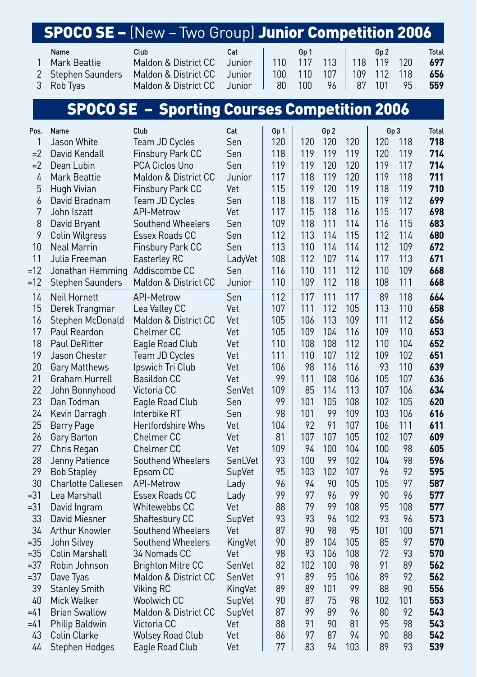# SPOCO SE – (New – Two Group) Junior Competition 2006

| Name               | Club                                                          | Cat | Gp 1 |  | Gp2 |        | <b>Total</b> |  |
|--------------------|---------------------------------------------------------------|-----|------|--|-----|--------|--------------|--|
| 1 Mark Beattie     | Maldon & District CC Junior   110 117 113   118 119 120   697 |     |      |  |     |        |              |  |
| 2 Stephen Saunders | Maldon & District CC Junior   100 110 107   109 112 118   656 |     |      |  |     |        |              |  |
| 3 Rob Tvas         | Maldon & District CC Junior   80 100 96   87 101              |     |      |  |     | 95 559 |              |  |

## SPOCO SE – Sporting Courses Competition 2006

| Pos.     | Name                                            | Club                          | Cat         | Gp 1     |           | Gp 2      |            |           | Gp 3     | <b>Total</b> |
|----------|-------------------------------------------------|-------------------------------|-------------|----------|-----------|-----------|------------|-----------|----------|--------------|
| 1        | Jason White                                     | Team JD Cycles                | Sen         | 120      | 120       | 120       | 120        | 120       | 118      | 718          |
| $=2$     | David Kendall                                   | Finsbury Park CC              | Sen         | 118      | 119       | 119       | 119        | 120       | 119      | 714          |
| $=2$     | Dean Lubin                                      | PCA Ciclos Uno                | Sen         | 119      | 119       | 120       | 120        | 119       | 117      | 714          |
| 4        | Mark Beattie                                    | Maldon & District CC          | Junior      | 117      | 118       | 119       | 120        | 119       | 118      | 711          |
| 5        | Hugh Vivian                                     | Finsbury Park CC              | Vet         | 115      | 119       | 120       | 119        | 118       | 119      | 710          |
| 6        | David Bradnam                                   | Team JD Cycles                | Sen         | 118      | 118       | 117       | 115        | 119       | 112      | 699          |
| 7        | John Iszatt                                     | <b>API-Metrow</b>             | Vet         | 117      | 115       | 118       | 116        | 115       | 117      | 698          |
| 8        | David Bryant                                    | Southend Wheelers             | Sen         | 109      | 118       | 111       | 114        | 116       | 115      | 683          |
| 9        | Colin Wilgress                                  | <b>Essex Roads CC</b>         | Sen         | 112      | 113       | 114       | 115        | 112       | 114      | 680          |
| 10       | <b>Neal Marrin</b>                              | Finsbury Park CC              | Sen         | 113      | 110       | 114       | 114        | 112       | 109      | 672          |
| 11       | Julia Freeman                                   | Easterley RC                  | LadyVet     | 108      | 112       | 107       | 114        | 117       | 113      | 671          |
| $=12$    | Jonathan Hemming                                | Addiscombe CC                 | Sen         | 116      | 110       | 111       | 112        | 110       | 109      | 668          |
| $=12$    | <b>Stephen Saunders</b>                         | Maldon & District CC          | Junior      | 110      | 109       | 112       | 118        | 108       | 111      | 668          |
| 14       | Neil Hornett                                    | <b>API-Metrow</b>             | Sen         | 112      | 117       | 111       | 117        | 89        | 118      | 664          |
| 15       | Derek Trangmar                                  | Lea Valley CC                 | Vet         | 107      | 111       | 112       | 105        | 113       | 110      | 658          |
| 16       | Stephen McDonald                                | Maldon & District CC          | Vet         | 105      | 106       | 113       | 109        | 111       | 112      | 656          |
| 17       | Paul Reardon                                    | <b>Chelmer CC</b>             | Vet         | 105      | 109       | 104       | 116        | 109       | 110      | 653          |
| 18       | Paul DeRitter                                   | Eagle Road Club               | Vet         | 110      | 108       | 108       | 112        | 110       | 104      | 652          |
| 19       | Jason Chester                                   | Team JD Cycles                | Vet         | 111      | 110       | 107       | 112        | 109       | 102      | 651          |
| 20       | Gary Matthews                                   | Ipswich Tri Club              | Vet         | 106      | 98        | 116       | 116        | 93        | 110      | 639          |
| 21       | Graham Hurrell                                  | <b>Basildon CC</b>            | Vet         | 99       | 111       | 108       | 106        | 105       | 107      | 636          |
| 22       | John Bonnyhood                                  | Victoria CC                   | SenVet      | 109      | 85        | 114       | 113        | 107       | 106      | 634          |
| 23       | Dan Todman                                      | Eagle Road Club               | Sen         | 99       | 101       | 105       | 108        | 102       | 105      | 620          |
| 24       | Kevin Darragh                                   | Interbike RT                  | Sen         | 98       | 101       | 99        | 109        | 103       | 106      | 616          |
| 25       | <b>Barry Page</b>                               | <b>Hertfordshire Whs</b>      | Vet         | 104      | 92        | 91        | 107        | 106       | 111      | 611          |
| 26       | Gary Barton                                     | <b>Chelmer CC</b>             | Vet         | 81       | 107       | 107       | 105        | 102       | 107      | 609          |
| 27       | Chris Regan                                     | <b>Chelmer CC</b>             | Vet         | 109      | 94        | 100       | 104        | 100       | 98       | 605          |
| 28       | Jenny Patience                                  | Southend Wheelers             | SenLVet     | 93       | 100       | 99        | 102        | 104       | 98       | 596          |
| 29<br>30 | <b>Bob Stapley</b><br><b>Charlotte Callesen</b> | Epsom CC<br><b>API-Metrow</b> | SupVet      | 95<br>96 | 103<br>94 | 102<br>90 | 107<br>105 | 96<br>105 | 92<br>97 | 595<br>587   |
| =31      | Lea Marshall                                    | Essex Roads CC                | Lady        | 99       | 97        | 96        | 99         | 90        | 96       | 577          |
| $=31$    | David Ingram                                    | Whitewebbs CC                 | Lady<br>Vet | 88       | 79        | 99        | 108        | 95        | 108      | 577          |
| 33       | David Miesner                                   | Shaftesbury CC                | SupVet      | 93       | 93        | 96        | 102        | 93        | 96       | 573          |
| 34       | Arthur Knowler                                  | Southend Wheelers             | Vet         | 87       | 90        | 98        | 95         | 101       | 100      | 571          |
| $= 35$   | John Silvey                                     | Southend Wheelers             | KingVet     | 90       | 89        | 104       | 105        | 85        | 97       | 570          |
| $=35$    | Colin Marshall                                  | 34 Nomads CC                  | Vet         | 98       | 93        | 106       | 108        | 72        | 93       | 570          |
| $=37$    | Robin Johnson                                   | <b>Brighton Mitre CC</b>      | SenVet      | 82       | 102       | 100       | 98         | 91        | 89       | 562          |
| $= 37$   | Dave Tyas                                       | Maldon & District CC          | SenVet      | 91       | 89        | 95        | 106        | 89        | 92       | 562          |
| 39       | <b>Stanley Smith</b>                            | Viking RC                     | KingVet     | 89       | 89        | 101       | 99         | 88        | 90       | 556          |
| 40       | Mick Walker                                     | Woolwich CC                   | SupVet      | 90       | 87        | 75        | 98         | 102       | 101      | 553          |
| =41      | <b>Brian Swallow</b>                            | Maldon & District CC          | SupVet      | 87       | 99        | 89        | 96         | 80        | 92       | 543          |
| =41      | <b>Philip Baldwin</b>                           | Victoria CC                   | Vet         | 88       | 91        | 90        | 81         | 95        | 98       | 543          |
| 43       | Colin Clarke                                    | <b>Wolsey Road Club</b>       | Vet         | 86       | 97        | 87        | 94         | 90        | 88       | 542          |
| 44       | Stephen Hodges                                  | Eagle Road Club               | Vet         | 77       | 83        | 94        | 103        | 89        | 93       | 539          |
|          |                                                 |                               |             |          |           |           |            |           |          |              |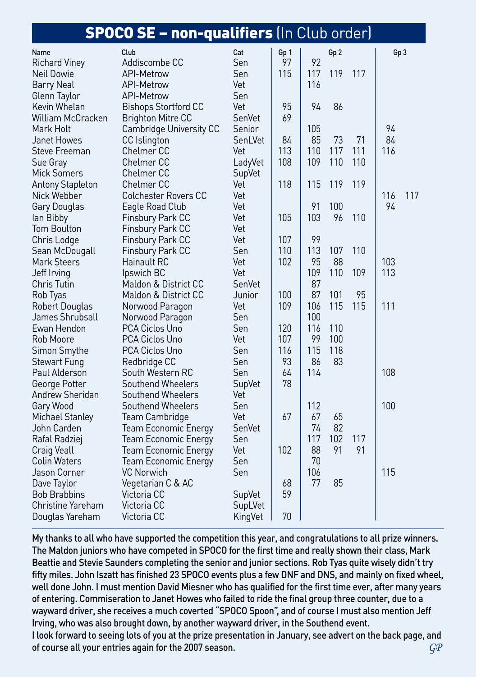|                         | <b>SPOCO SE - non-qualifiers</b> (In Club order) |         |      |     |                 |     |                 |     |
|-------------------------|--------------------------------------------------|---------|------|-----|-----------------|-----|-----------------|-----|
| Name                    | Club                                             | Cat     | Gp 1 |     | Gp <sub>2</sub> |     | Gp <sub>3</sub> |     |
| <b>Richard Viney</b>    | Addiscombe CC                                    | Sen     | 97   | 92  |                 |     |                 |     |
| Neil Dowie              | API-Metrow                                       | Sen     | 115  | 117 | 119             | 117 |                 |     |
| Barry Neal              | API-Metrow                                       | Vet     |      | 116 |                 |     |                 |     |
| Glenn Taylor            | API-Metrow                                       | Sen     |      |     |                 |     |                 |     |
| Kevin Whelan            | <b>Bishops Stortford CC</b>                      | Vet     | 95   | 94  | 86              |     |                 |     |
| William McCracken       | <b>Brighton Mitre CC</b>                         | SenVet  | 69   |     |                 |     |                 |     |
| Mark Holt               | Cambridge University CC                          | Senior  |      | 105 |                 |     | 94              |     |
| Janet Howes             | CC Islington                                     | SenLVet | 84   | 85  | 73              | 71  | 84              |     |
| Steve Freeman           | <b>Chelmer CC</b>                                | Vet     | 113  | 110 | 117             | 111 | 116             |     |
| Sue Gray                | Chelmer CC                                       | LadyVet | 108  | 109 | 110             | 110 |                 |     |
| <b>Mick Somers</b>      | Chelmer CC                                       | SupVet  |      |     |                 |     |                 |     |
| <b>Antony Stapleton</b> | Chelmer CC                                       | Vet     | 118  | 115 | 119             | 119 |                 |     |
| Nick Webber             | <b>Colchester Rovers CC</b>                      | Vet     |      |     |                 |     | 116             | 117 |
| Gary Douglas            | Eagle Road Club                                  | Vet     |      | 91  | 100             |     | 94              |     |
| lan Bibby               | Finsbury Park CC                                 | Vet     | 105  | 103 | 96              | 110 |                 |     |
| <b>Tom Boulton</b>      | Finsbury Park CC                                 | Vet     |      |     |                 |     |                 |     |
| Chris Lodge             | Finsbury Park CC                                 | Vet     | 107  | 99  |                 |     |                 |     |
| Sean McDougall          | Finsbury Park CC                                 | Sen     | 110  | 113 | 107             | 110 |                 |     |
| <b>Mark Steers</b>      | Hainault RC                                      | Vet     | 102  | 95  | 88              |     | 103             |     |
| Jeff Irving             | Ipswich BC                                       | Vet     |      | 109 | 110             | 109 | 113             |     |
| <b>Chris Tutin</b>      | Maldon & District CC                             | SenVet  |      | 87  |                 |     |                 |     |
| Rob Tyas                | <b>Maldon &amp; District CC</b>                  | Junior  | 100  | 87  | 101             | 95  |                 |     |
| <b>Robert Douglas</b>   | Norwood Paragon                                  | Vet     | 109  | 106 | 115             | 115 | 111             |     |
| James Shrubsall         | Norwood Paragon                                  | Sen     |      | 100 |                 |     |                 |     |
| Ewan Hendon             | PCA Ciclos Uno                                   | Sen     | 120  | 116 | 110             |     |                 |     |
| Rob Moore               | PCA Ciclos Uno                                   | Vet     | 107  | 99  | 100             |     |                 |     |
| Simon Smythe            | PCA Ciclos Uno                                   | Sen     | 116  | 115 | 118             |     |                 |     |
| <b>Stewart Fung</b>     | Redbridge CC                                     | Sen     | 93   | 86  | 83              |     |                 |     |
| Paul Alderson           | South Western RC                                 | Sen     | 64   | 114 |                 |     | 108             |     |
| George Potter           | Southend Wheelers                                | SupVet  | 78   |     |                 |     |                 |     |
| Andrew Sheridan         | Southend Wheelers                                | Vet     |      |     |                 |     |                 |     |
| Gary Wood               | Southend Wheelers                                | Sen     |      | 112 |                 |     | 100             |     |
| <b>Michael Stanley</b>  | Team Cambridge                                   | Vet     | 67   | 67  | 65              |     |                 |     |
| John Carden             | <b>Team Economic Energy</b>                      | SenVet  |      | 74  | 82              |     |                 |     |
| Rafal Radziej           | <b>Team Economic Energy</b>                      | Sen     |      | 117 | 102             | 117 |                 |     |
| Craig Veall             | Team Economic Energy                             | Vet     | 102  | 88  | 91              | 91  |                 |     |
| Colin Waters            | <b>Team Economic Energy</b>                      | Sen     |      | 70  |                 |     |                 |     |
| Jason Corner            | <b>VC Norwich</b>                                | Sen     |      | 106 |                 |     | 115             |     |
| Dave Taylor             | Vegetarian C & AC                                |         | 68   | 77  | 85              |     |                 |     |
| <b>Bob Brabbins</b>     | Victoria CC                                      | SupVet  | 59   |     |                 |     |                 |     |
| Christine Yareham       | Victoria CC                                      | SupLVet |      |     |                 |     |                 |     |
| Douglas Yareham         | Victoria CC                                      | KingVet | 70   |     |                 |     |                 |     |

My thanks to all who have supported the competition this year, and congratulations to all prize winners. The Maldon juniors who have competed in SPOCO for the first time and really shown their class, Mark Beattie and Stevie Saunders completing the senior and junior sections. Rob Tyas quite wisely didn't try fifty miles. John Iszatt has finished 23 SPOCO events plus a few DNF and DNS, and mainly on fixed wheel, well done John. I must mention David Miesner who has qualified for the first time ever, after many years of entering. Commiseration to Janet Howes who failed to ride the final group three counter, due to a wayward driver, she receives a much coverted "SPOCO Spoon", and of course I must also mention Jeff Irving, who was also brought down, by another wayward driver, in the Southend event. I look forward to seeing lots of you at the prize presentation in January, see advert on the back page, and of course all your entries again for the 2007 season. *GP*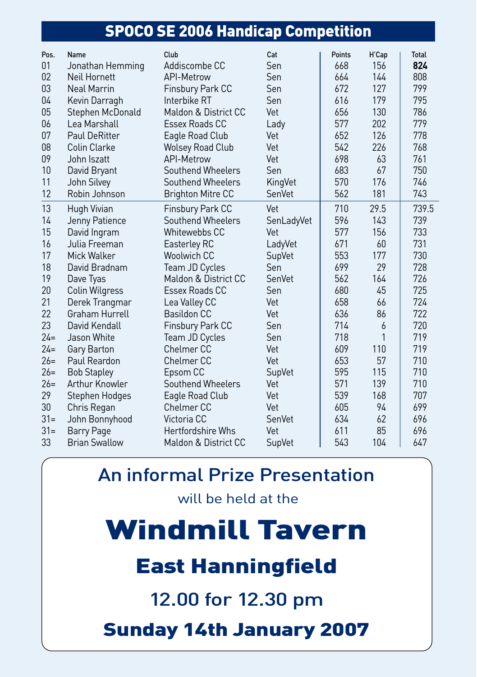#### SPOCO SE 2006 Handicap Competition

| Pos.   | Name                 | Club                     | Cat        | Points | H'Cap | <b>Total</b> |
|--------|----------------------|--------------------------|------------|--------|-------|--------------|
| 01     | Jonathan Hemming     | Addiscombe CC            | Sen        | 668    | 156   | 824          |
| 02     | Neil Hornett         | API-Metrow               | Sen        | 664    | 144   | 808          |
| 03     | <b>Neal Marrin</b>   | Finsbury Park CC         | Sen        | 672    | 127   | 799          |
| 04     | Kevin Darragh        | Interbike RT             | Sen        | 616    | 179   | 795          |
| 05     | Stephen McDonald     | Maldon & District CC     | Vet        | 656    | 130   | 786          |
| 06     | Lea Marshall         | Essex Roads CC           | Lady       | 577    | 202   | 779          |
| 07     | <b>Paul DeRitter</b> | Eagle Road Club          | Vet        | 652    | 126   | 778          |
| 08     | Colin Clarke         | <b>Wolsey Road Club</b>  | Vet        | 542    | 226   | 768          |
| 09     | John Iszatt          | API-Metrow               | Vet        | 698    | 63    | 761          |
| 10     | David Bryant         | Southend Wheelers        | Sen        | 683    | 67    | 750          |
| 11     | John Silvey          | Southend Wheelers        | KingVet    | 570    | 176   | 746          |
| 12     | Robin Johnson        | <b>Brighton Mitre CC</b> | SenVet     | 562    | 181   | 743          |
| 13     | Hugh Vivian          | Finsbury Park CC         | Vet        | 710    | 29.5  | 739.5        |
| 14     | Jenny Patience       | Southend Wheelers        | SenLadyVet | 596    | 143   | 739          |
| 15     | David Ingram         | Whitewebbs CC            | Vet        | 577    | 156   | 733          |
| 16     | Julia Freeman        | Easterley RC             | LadyVet    | 671    | 60    | 731          |
| 17     | Mick Walker          | <b>Woolwich CC</b>       | SupVet     | 553    | 177   | 730          |
| 18     | David Bradnam        | Team JD Cycles           | Sen        | 699    | 29    | 728          |
| 19     | Dave Tyas            | Maldon & District CC     | SenVet     | 562    | 164   | 726          |
| 20     | Colin Wilgress       | Essex Roads CC           | Sen        | 680    | 45    | 725          |
| 21     | Derek Trangmar       | Lea Valley CC            | Vet        | 658    | 66    | 724          |
| 22     | Graham Hurrell       | <b>Basildon CC</b>       | Vet        | 636    | 86    | 722          |
| 23     | David Kendall        | Finsbury Park CC         | Sen        | 714    | 6     | 720          |
| $24=$  | Jason White          | Team JD Cycles           | Sen        | 718    | 1     | 719          |
| $24=$  | Gary Barton          | Chelmer <sub>CC</sub>    | Vet        | 609    | 110   | 719          |
| $26=$  | Paul Reardon         | Chelmer <sub>CC</sub>    | Vet        | 653    | 57    | 710          |
| $26=$  | <b>Bob Stapley</b>   | Epsom CC                 | SupVet     | 595    | 115   | 710          |
| $26=$  | Arthur Knowler       | Southend Wheelers        | Vet        | 571    | 139   | 710          |
| 29     | Stephen Hodges       | Eagle Road Club          | Vet        | 539    | 168   | 707          |
| 30     | Chris Regan          | Chelmer <sub>CC</sub>    | Vet        | 605    | 94    | 699          |
| $31 =$ | John Bonnyhood       | Victoria CC              | SenVet     | 634    | 62    | 696          |
| $31 =$ | <b>Barry Page</b>    | <b>Hertfordshire Whs</b> | Vet        | 611    | 85    | 696          |
| 33     | <b>Brian Swallow</b> | Maldon & District CC     | SupVet     | 543    | 104   | 647          |

### An informal Prize Presentation

will be held at the

Windmill Tavern

# East Hanningfield

12.00 for 12.30 pm

Sunday 14th January 2007